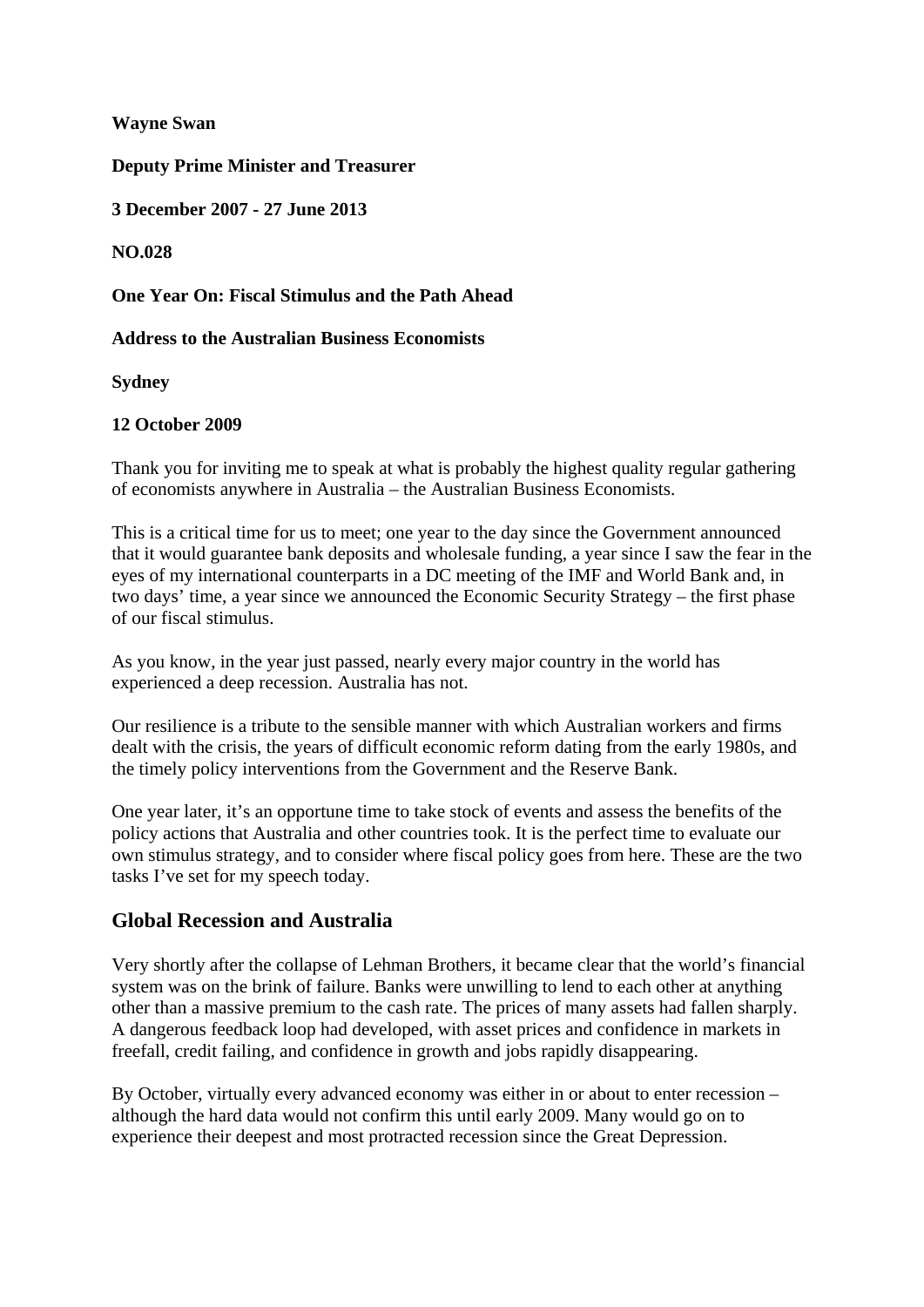**Wayne Swan** 

**Deputy Prime Minister and Treasurer** 

**3 December 2007 - 27 June 2013** 

**NO.028**

**One Year On: Fiscal Stimulus and the Path Ahead** 

**Address to the Australian Business Economists** 

**Sydney** 

#### **12 October 2009**

Thank you for inviting me to speak at what is probably the highest quality regular gathering of economists anywhere in Australia – the Australian Business Economists.

This is a critical time for us to meet; one year to the day since the Government announced that it would guarantee bank deposits and wholesale funding, a year since I saw the fear in the eyes of my international counterparts in a DC meeting of the IMF and World Bank and, in two days' time, a year since we announced the Economic Security Strategy – the first phase of our fiscal stimulus.

As you know, in the year just passed, nearly every major country in the world has experienced a deep recession. Australia has not.

Our resilience is a tribute to the sensible manner with which Australian workers and firms dealt with the crisis, the years of difficult economic reform dating from the early 1980s, and the timely policy interventions from the Government and the Reserve Bank.

One year later, it's an opportune time to take stock of events and assess the benefits of the policy actions that Australia and other countries took. It is the perfect time to evaluate our own stimulus strategy, and to consider where fiscal policy goes from here. These are the two tasks I've set for my speech today.

### **Global Recession and Australia**

Very shortly after the collapse of Lehman Brothers, it became clear that the world's financial system was on the brink of failure. Banks were unwilling to lend to each other at anything other than a massive premium to the cash rate. The prices of many assets had fallen sharply. A dangerous feedback loop had developed, with asset prices and confidence in markets in freefall, credit failing, and confidence in growth and jobs rapidly disappearing.

By October, virtually every advanced economy was either in or about to enter recession – although the hard data would not confirm this until early 2009. Many would go on to experience their deepest and most protracted recession since the Great Depression.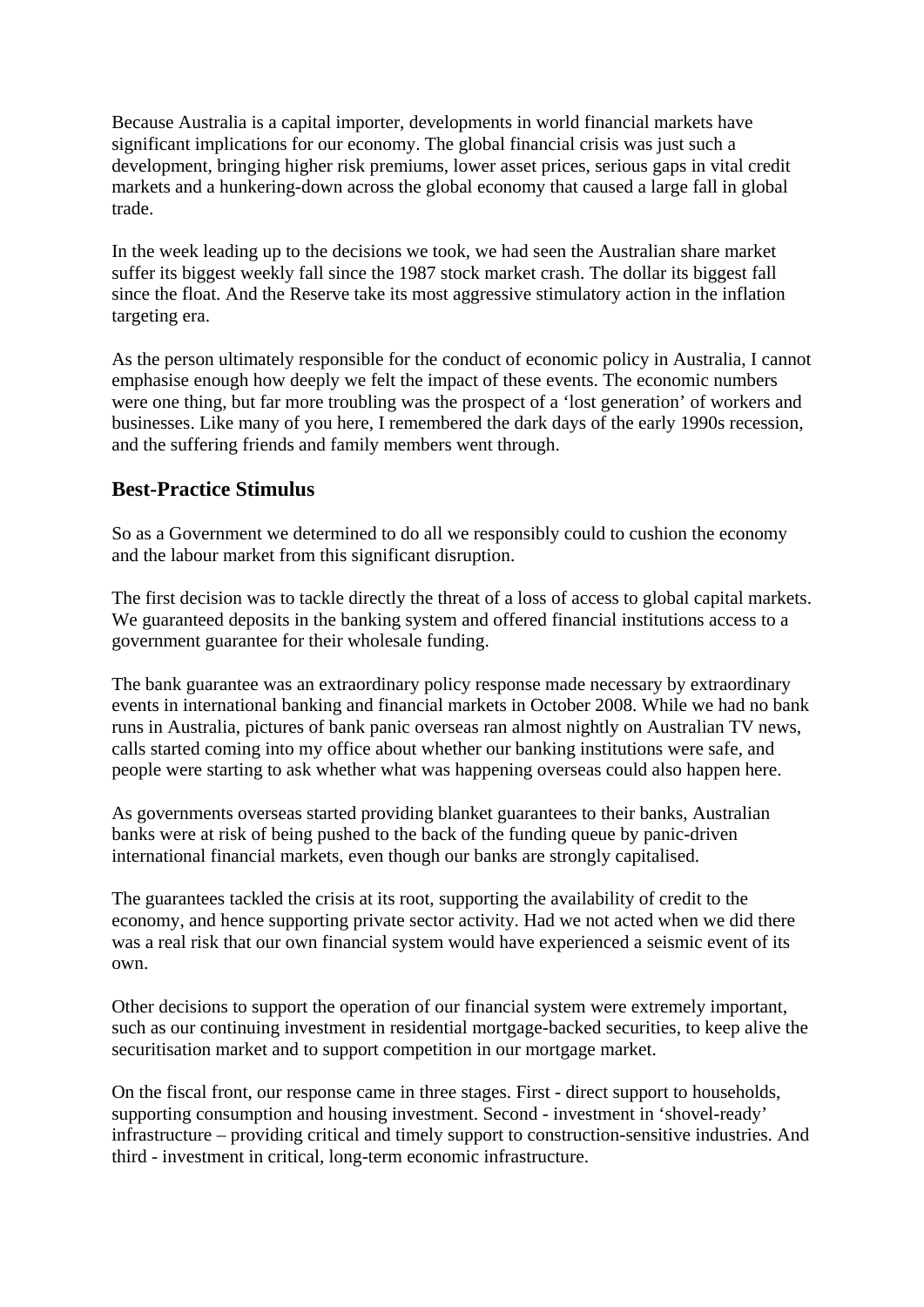Because Australia is a capital importer, developments in world financial markets have significant implications for our economy. The global financial crisis was just such a development, bringing higher risk premiums, lower asset prices, serious gaps in vital credit markets and a hunkering-down across the global economy that caused a large fall in global trade.

In the week leading up to the decisions we took, we had seen the Australian share market suffer its biggest weekly fall since the 1987 stock market crash. The dollar its biggest fall since the float. And the Reserve take its most aggressive stimulatory action in the inflation targeting era.

As the person ultimately responsible for the conduct of economic policy in Australia, I cannot emphasise enough how deeply we felt the impact of these events. The economic numbers were one thing, but far more troubling was the prospect of a 'lost generation' of workers and businesses. Like many of you here, I remembered the dark days of the early 1990s recession, and the suffering friends and family members went through.

## **Best-Practice Stimulus**

So as a Government we determined to do all we responsibly could to cushion the economy and the labour market from this significant disruption.

The first decision was to tackle directly the threat of a loss of access to global capital markets. We guaranteed deposits in the banking system and offered financial institutions access to a government guarantee for their wholesale funding.

The bank guarantee was an extraordinary policy response made necessary by extraordinary events in international banking and financial markets in October 2008. While we had no bank runs in Australia, pictures of bank panic overseas ran almost nightly on Australian TV news, calls started coming into my office about whether our banking institutions were safe, and people were starting to ask whether what was happening overseas could also happen here.

As governments overseas started providing blanket guarantees to their banks, Australian banks were at risk of being pushed to the back of the funding queue by panic-driven international financial markets, even though our banks are strongly capitalised.

The guarantees tackled the crisis at its root, supporting the availability of credit to the economy, and hence supporting private sector activity. Had we not acted when we did there was a real risk that our own financial system would have experienced a seismic event of its own.

Other decisions to support the operation of our financial system were extremely important, such as our continuing investment in residential mortgage-backed securities, to keep alive the securitisation market and to support competition in our mortgage market.

On the fiscal front, our response came in three stages. First - direct support to households, supporting consumption and housing investment. Second - investment in 'shovel-ready' infrastructure – providing critical and timely support to construction-sensitive industries. And third - investment in critical, long-term economic infrastructure.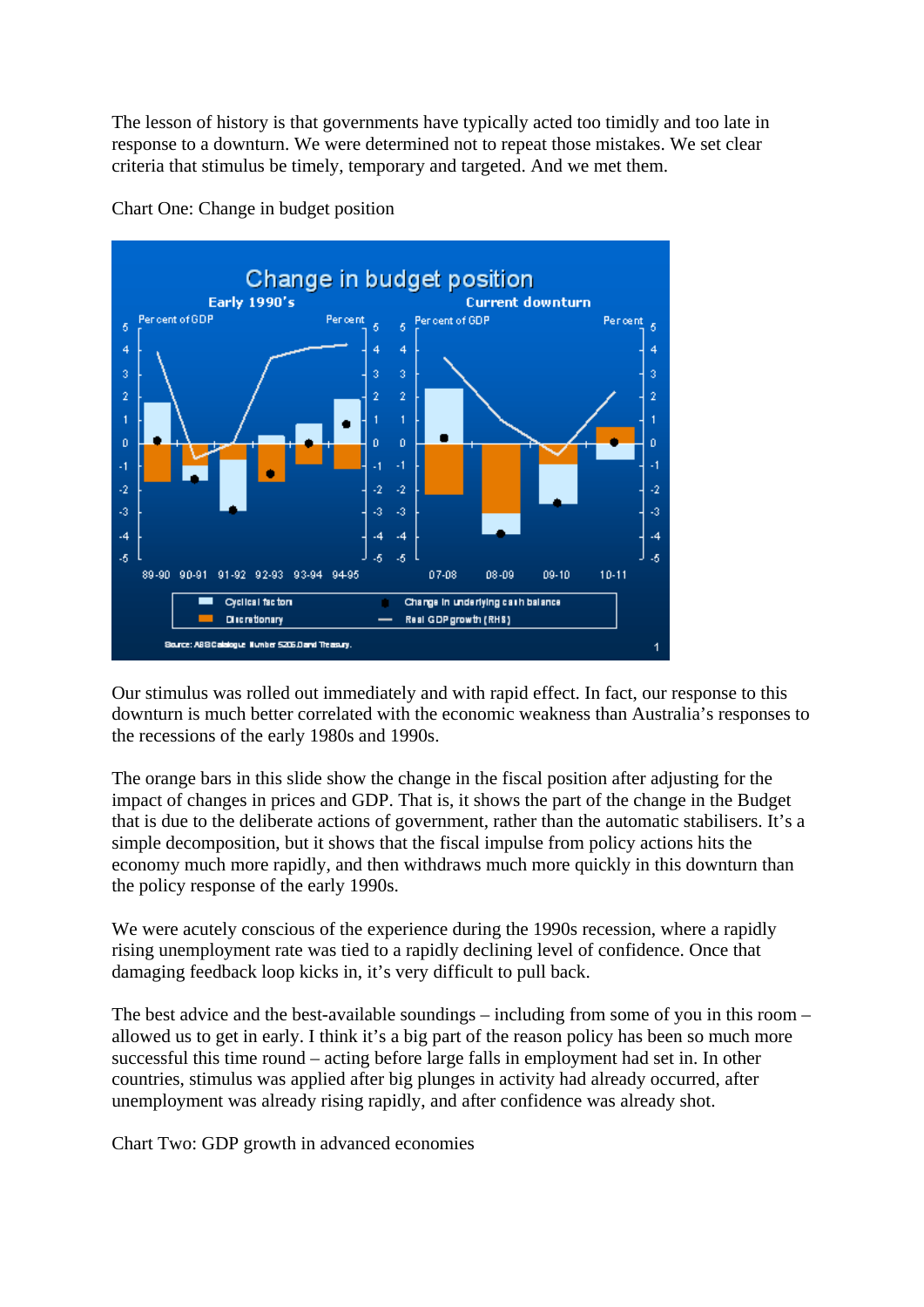The lesson of history is that governments have typically acted too timidly and too late in response to a downturn. We were determined not to repeat those mistakes. We set clear criteria that stimulus be timely, temporary and targeted. And we met them.



Chart One: Change in budget position

Our stimulus was rolled out immediately and with rapid effect. In fact, our response to this downturn is much better correlated with the economic weakness than Australia's responses to the recessions of the early 1980s and 1990s.

The orange bars in this slide show the change in the fiscal position after adjusting for the impact of changes in prices and GDP. That is, it shows the part of the change in the Budget that is due to the deliberate actions of government, rather than the automatic stabilisers. It's a simple decomposition, but it shows that the fiscal impulse from policy actions hits the economy much more rapidly, and then withdraws much more quickly in this downturn than the policy response of the early 1990s.

We were acutely conscious of the experience during the 1990s recession, where a rapidly rising unemployment rate was tied to a rapidly declining level of confidence. Once that damaging feedback loop kicks in, it's very difficult to pull back.

The best advice and the best-available soundings – including from some of you in this room – allowed us to get in early. I think it's a big part of the reason policy has been so much more successful this time round – acting before large falls in employment had set in. In other countries, stimulus was applied after big plunges in activity had already occurred, after unemployment was already rising rapidly, and after confidence was already shot.

Chart Two: GDP growth in advanced economies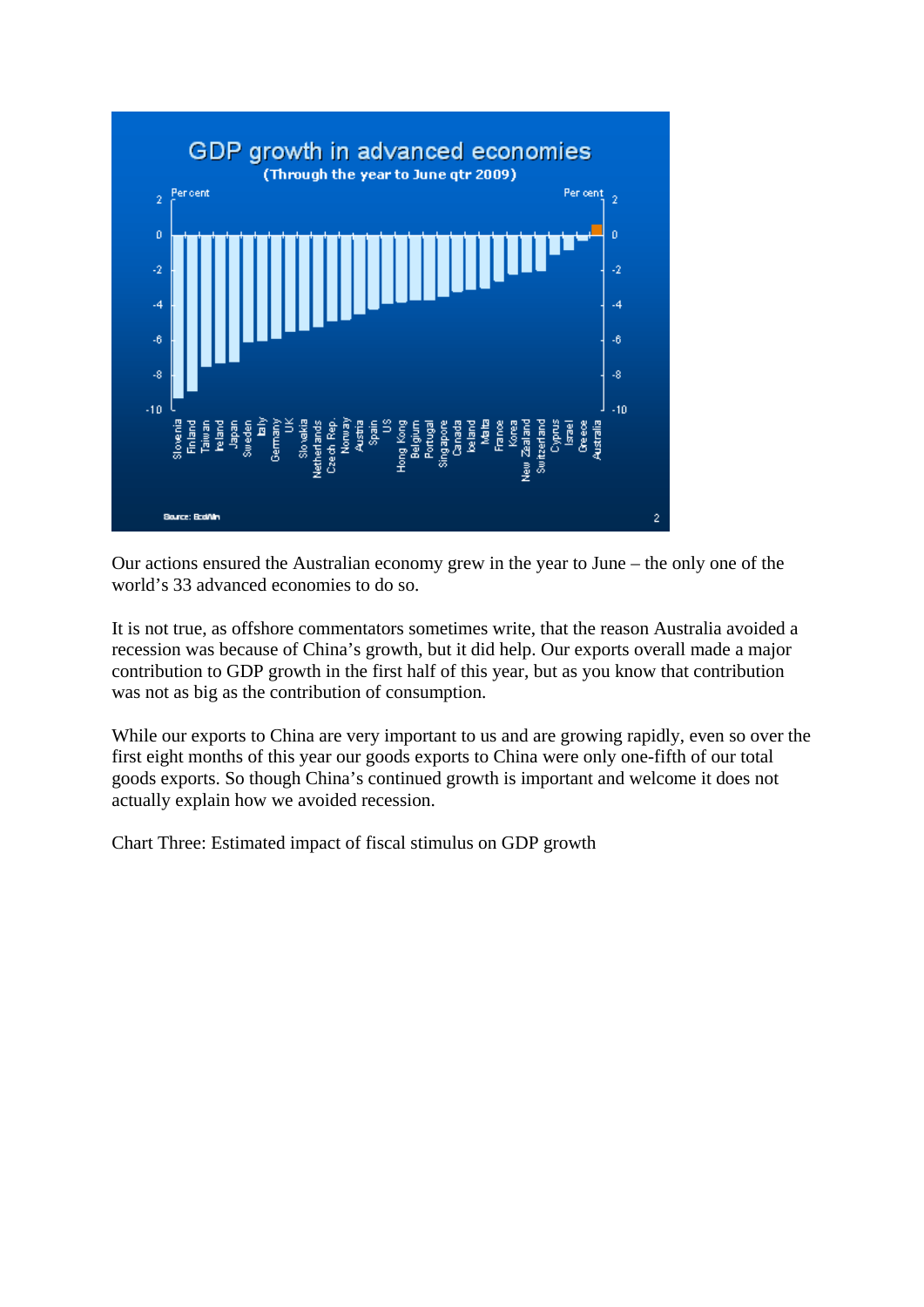

Our actions ensured the Australian economy grew in the year to June – the only one of the world's 33 advanced economies to do so.

It is not true, as offshore commentators sometimes write, that the reason Australia avoided a recession was because of China's growth, but it did help. Our exports overall made a major contribution to GDP growth in the first half of this year, but as you know that contribution was not as big as the contribution of consumption.

While our exports to China are very important to us and are growing rapidly, even so over the first eight months of this year our goods exports to China were only one-fifth of our total goods exports. So though China's continued growth is important and welcome it does not actually explain how we avoided recession.

Chart Three: Estimated impact of fiscal stimulus on GDP growth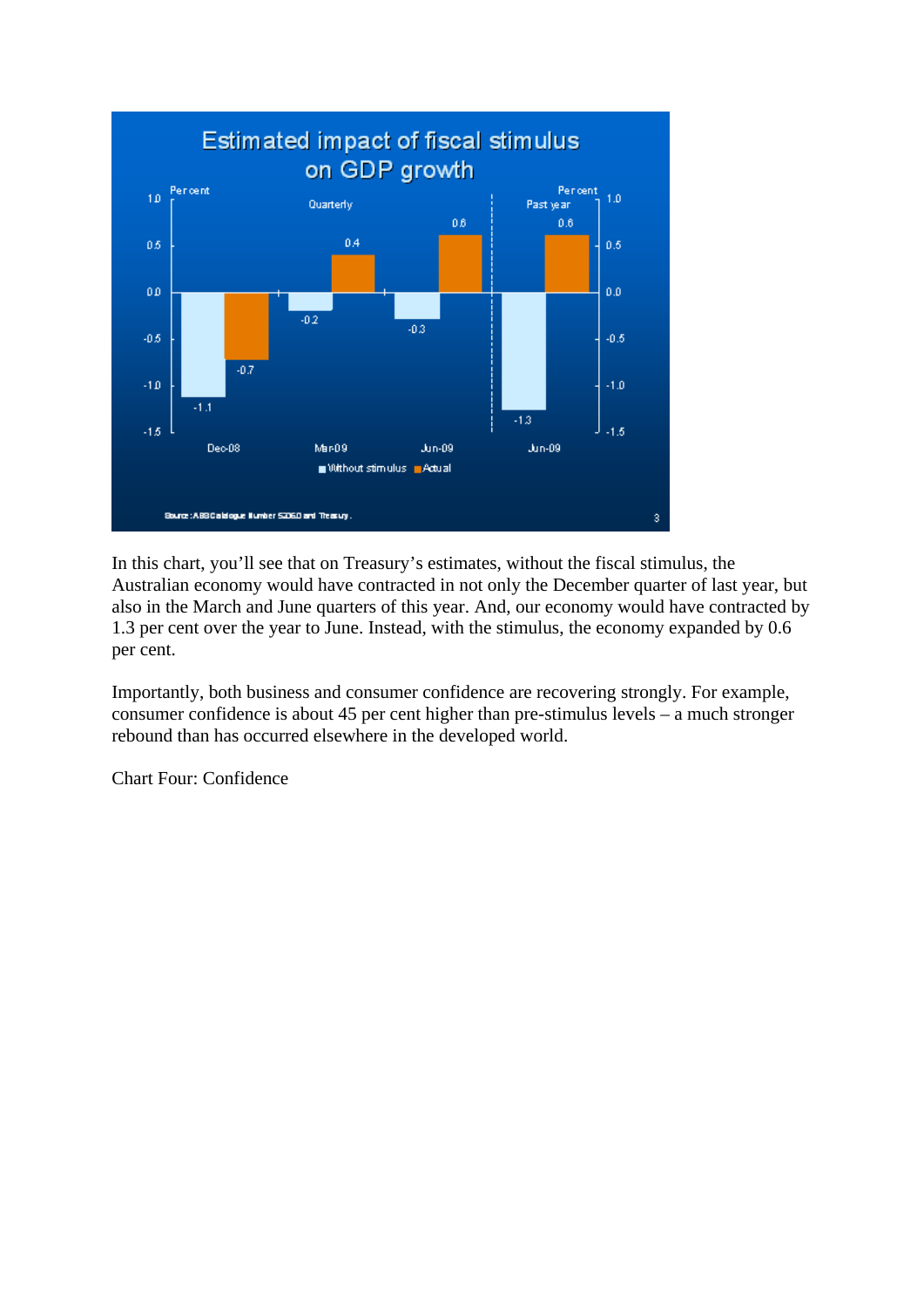

In this chart, you'll see that on Treasury's estimates, without the fiscal stimulus, the Australian economy would have contracted in not only the December quarter of last year, but also in the March and June quarters of this year. And, our economy would have contracted by 1.3 per cent over the year to June. Instead, with the stimulus, the economy expanded by 0.6 per cent.

Importantly, both business and consumer confidence are recovering strongly. For example, consumer confidence is about 45 per cent higher than pre-stimulus levels – a much stronger rebound than has occurred elsewhere in the developed world.

Chart Four: Confidence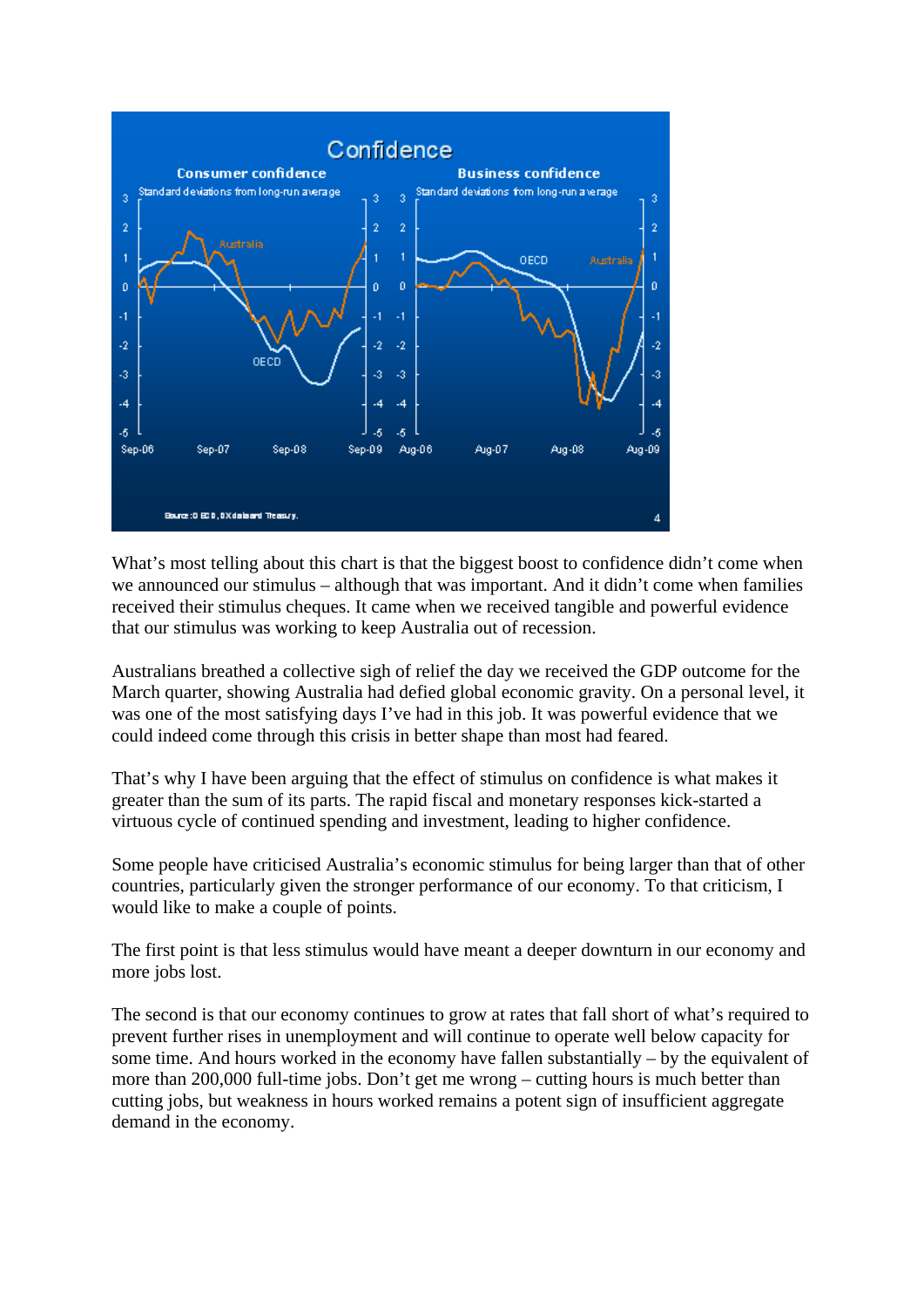

What's most telling about this chart is that the biggest boost to confidence didn't come when we announced our stimulus – although that was important. And it didn't come when families received their stimulus cheques. It came when we received tangible and powerful evidence that our stimulus was working to keep Australia out of recession.

Australians breathed a collective sigh of relief the day we received the GDP outcome for the March quarter, showing Australia had defied global economic gravity. On a personal level, it was one of the most satisfying days I've had in this job. It was powerful evidence that we could indeed come through this crisis in better shape than most had feared.

That's why I have been arguing that the effect of stimulus on confidence is what makes it greater than the sum of its parts. The rapid fiscal and monetary responses kick-started a virtuous cycle of continued spending and investment, leading to higher confidence.

Some people have criticised Australia's economic stimulus for being larger than that of other countries, particularly given the stronger performance of our economy. To that criticism, I would like to make a couple of points.

The first point is that less stimulus would have meant a deeper downturn in our economy and more jobs lost.

The second is that our economy continues to grow at rates that fall short of what's required to prevent further rises in unemployment and will continue to operate well below capacity for some time. And hours worked in the economy have fallen substantially – by the equivalent of more than 200,000 full-time jobs. Don't get me wrong – cutting hours is much better than cutting jobs, but weakness in hours worked remains a potent sign of insufficient aggregate demand in the economy.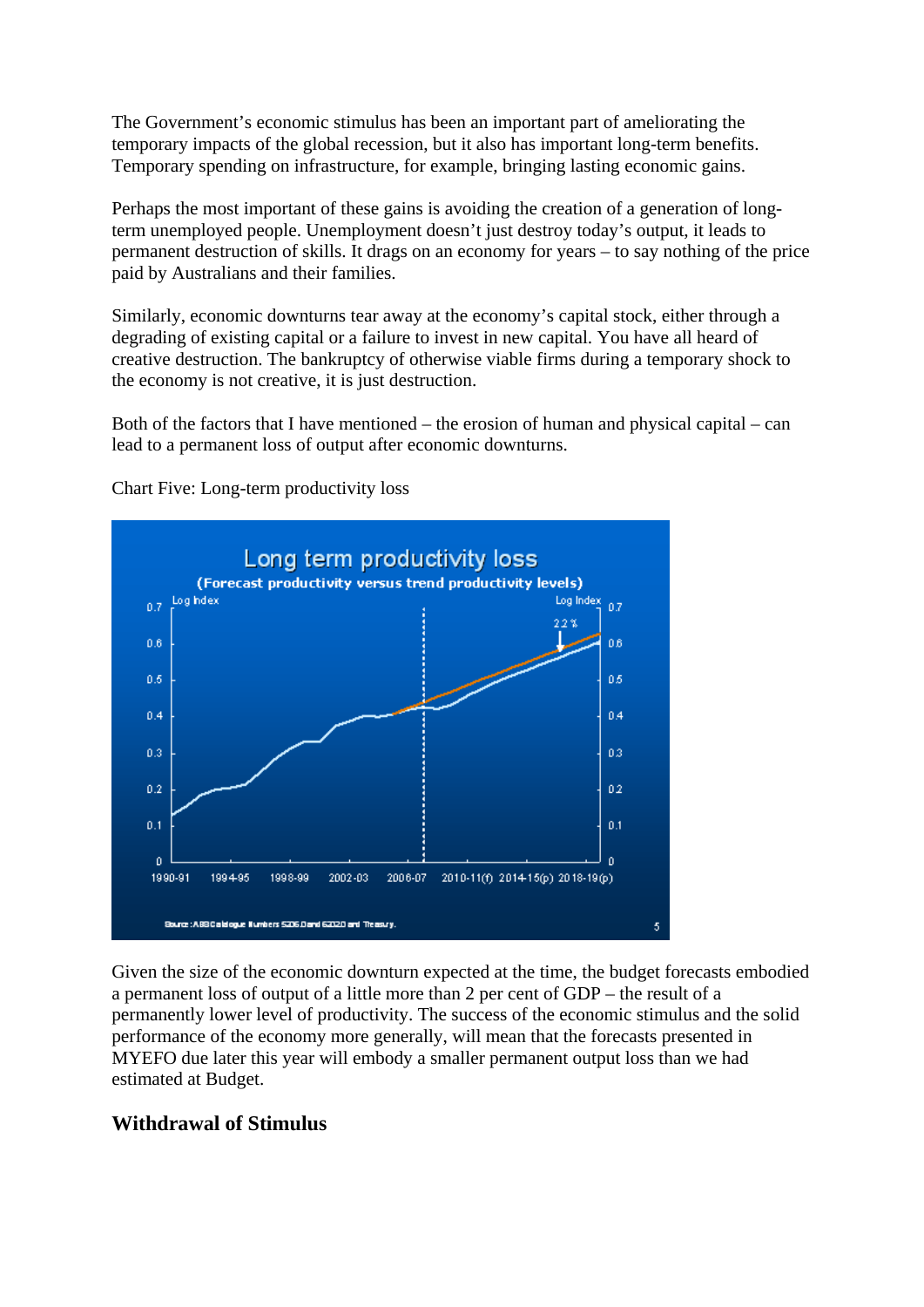The Government's economic stimulus has been an important part of ameliorating the temporary impacts of the global recession, but it also has important long-term benefits. Temporary spending on infrastructure, for example, bringing lasting economic gains.

Perhaps the most important of these gains is avoiding the creation of a generation of longterm unemployed people. Unemployment doesn't just destroy today's output, it leads to permanent destruction of skills. It drags on an economy for years – to say nothing of the price paid by Australians and their families.

Similarly, economic downturns tear away at the economy's capital stock, either through a degrading of existing capital or a failure to invest in new capital. You have all heard of creative destruction. The bankruptcy of otherwise viable firms during a temporary shock to the economy is not creative, it is just destruction.

Both of the factors that I have mentioned – the erosion of human and physical capital – can lead to a permanent loss of output after economic downturns.



Chart Five: Long-term productivity loss

Given the size of the economic downturn expected at the time, the budget forecasts embodied a permanent loss of output of a little more than 2 per cent of GDP – the result of a permanently lower level of productivity. The success of the economic stimulus and the solid performance of the economy more generally, will mean that the forecasts presented in MYEFO due later this year will embody a smaller permanent output loss than we had estimated at Budget.

# **Withdrawal of Stimulus**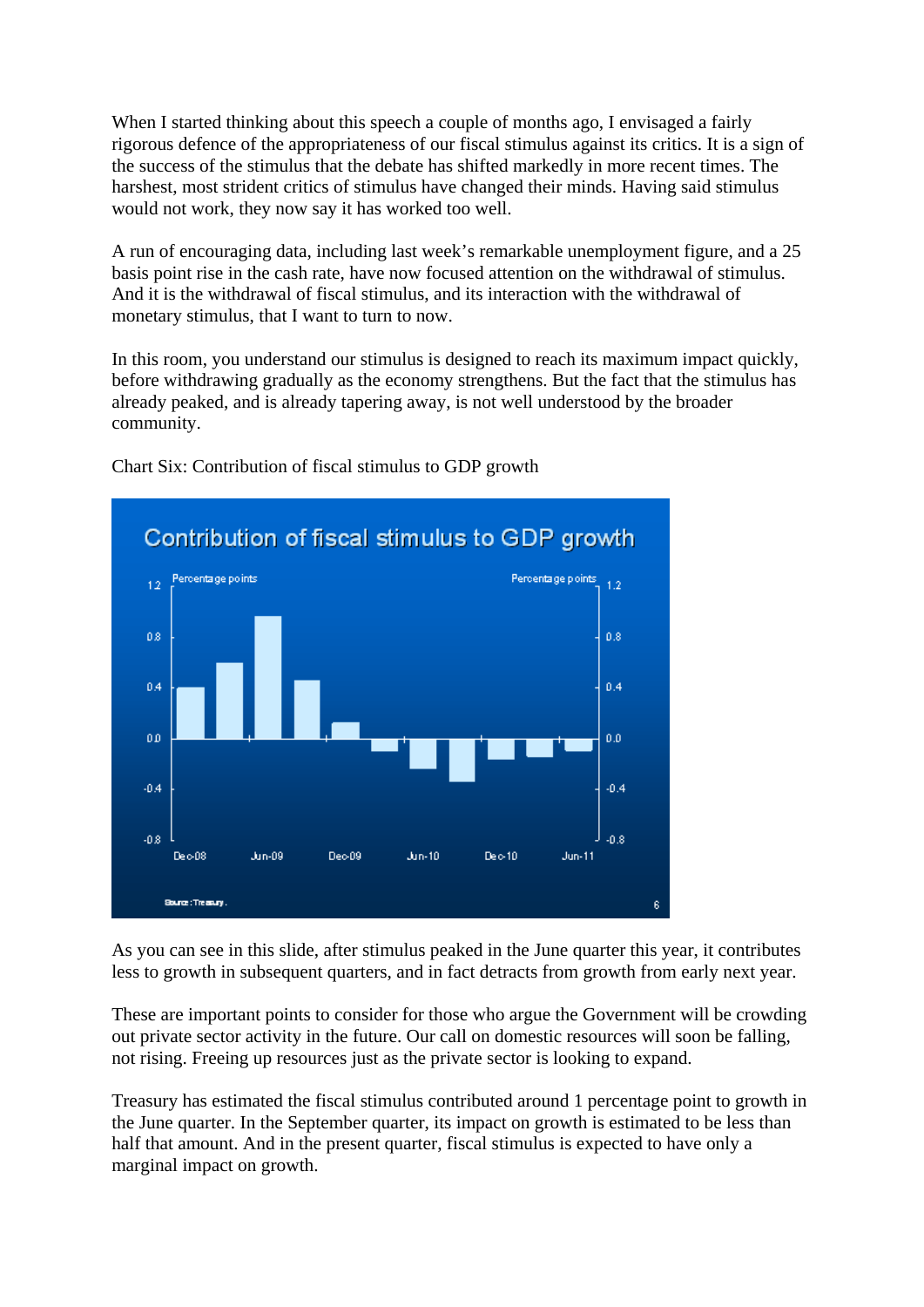When I started thinking about this speech a couple of months ago, I envisaged a fairly rigorous defence of the appropriateness of our fiscal stimulus against its critics. It is a sign of the success of the stimulus that the debate has shifted markedly in more recent times. The harshest, most strident critics of stimulus have changed their minds. Having said stimulus would not work, they now say it has worked too well.

A run of encouraging data, including last week's remarkable unemployment figure, and a 25 basis point rise in the cash rate, have now focused attention on the withdrawal of stimulus. And it is the withdrawal of fiscal stimulus, and its interaction with the withdrawal of monetary stimulus, that I want to turn to now.

In this room, you understand our stimulus is designed to reach its maximum impact quickly, before withdrawing gradually as the economy strengthens. But the fact that the stimulus has already peaked, and is already tapering away, is not well understood by the broader community.



Chart Six: Contribution of fiscal stimulus to GDP growth

As you can see in this slide, after stimulus peaked in the June quarter this year, it contributes less to growth in subsequent quarters, and in fact detracts from growth from early next year.

These are important points to consider for those who argue the Government will be crowding out private sector activity in the future. Our call on domestic resources will soon be falling, not rising. Freeing up resources just as the private sector is looking to expand.

Treasury has estimated the fiscal stimulus contributed around 1 percentage point to growth in the June quarter. In the September quarter, its impact on growth is estimated to be less than half that amount. And in the present quarter, fiscal stimulus is expected to have only a marginal impact on growth.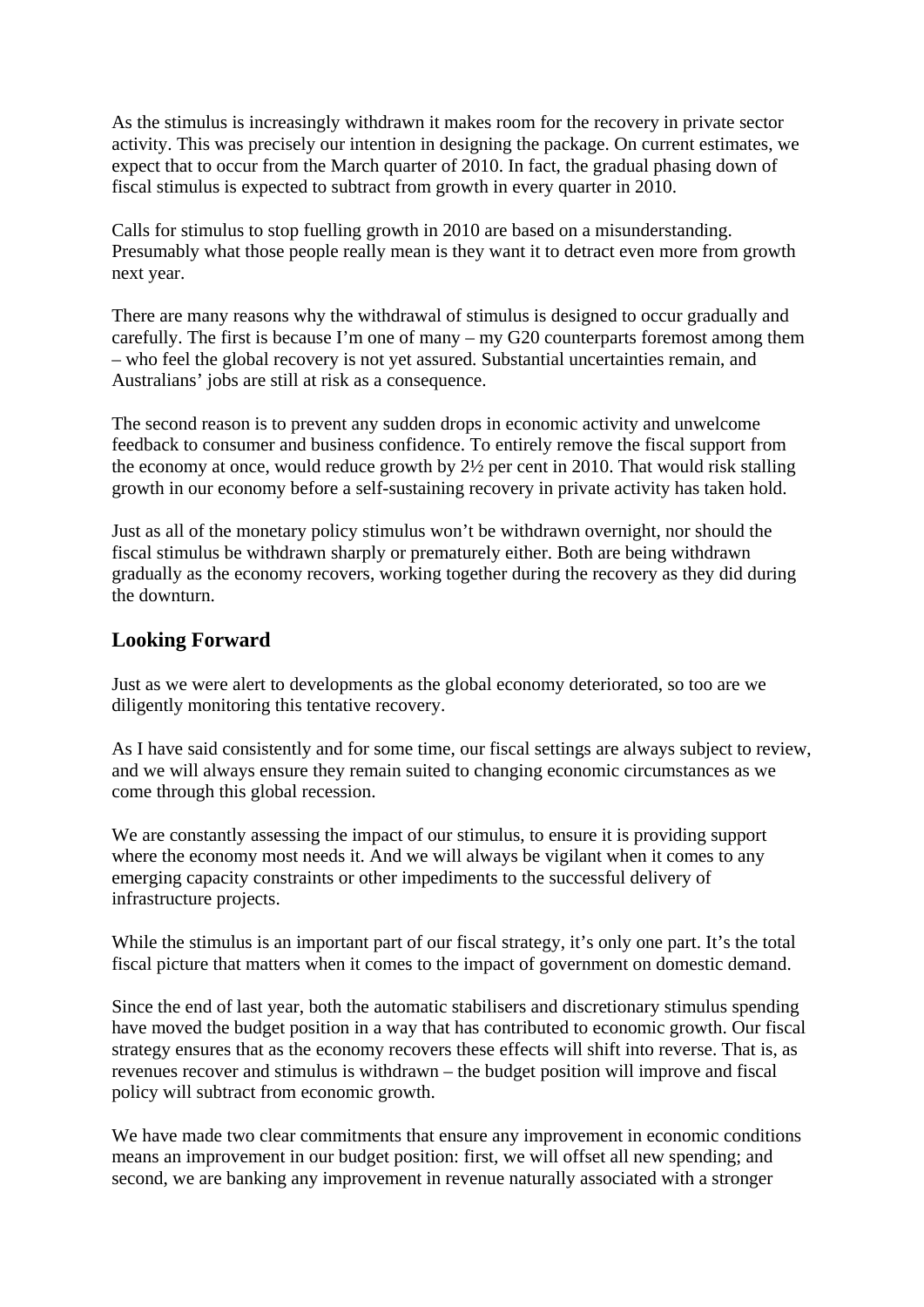As the stimulus is increasingly withdrawn it makes room for the recovery in private sector activity. This was precisely our intention in designing the package. On current estimates, we expect that to occur from the March quarter of 2010. In fact, the gradual phasing down of fiscal stimulus is expected to subtract from growth in every quarter in 2010.

Calls for stimulus to stop fuelling growth in 2010 are based on a misunderstanding. Presumably what those people really mean is they want it to detract even more from growth next year.

There are many reasons why the withdrawal of stimulus is designed to occur gradually and carefully. The first is because I'm one of many – my G20 counterparts foremost among them – who feel the global recovery is not yet assured. Substantial uncertainties remain, and Australians' jobs are still at risk as a consequence.

The second reason is to prevent any sudden drops in economic activity and unwelcome feedback to consumer and business confidence. To entirely remove the fiscal support from the economy at once, would reduce growth by 2½ per cent in 2010. That would risk stalling growth in our economy before a self-sustaining recovery in private activity has taken hold.

Just as all of the monetary policy stimulus won't be withdrawn overnight, nor should the fiscal stimulus be withdrawn sharply or prematurely either. Both are being withdrawn gradually as the economy recovers, working together during the recovery as they did during the downturn.

## **Looking Forward**

Just as we were alert to developments as the global economy deteriorated, so too are we diligently monitoring this tentative recovery.

As I have said consistently and for some time, our fiscal settings are always subject to review, and we will always ensure they remain suited to changing economic circumstances as we come through this global recession.

We are constantly assessing the impact of our stimulus, to ensure it is providing support where the economy most needs it. And we will always be vigilant when it comes to any emerging capacity constraints or other impediments to the successful delivery of infrastructure projects.

While the stimulus is an important part of our fiscal strategy, it's only one part. It's the total fiscal picture that matters when it comes to the impact of government on domestic demand.

Since the end of last year, both the automatic stabilisers and discretionary stimulus spending have moved the budget position in a way that has contributed to economic growth. Our fiscal strategy ensures that as the economy recovers these effects will shift into reverse. That is, as revenues recover and stimulus is withdrawn – the budget position will improve and fiscal policy will subtract from economic growth.

We have made two clear commitments that ensure any improvement in economic conditions means an improvement in our budget position: first, we will offset all new spending; and second, we are banking any improvement in revenue naturally associated with a stronger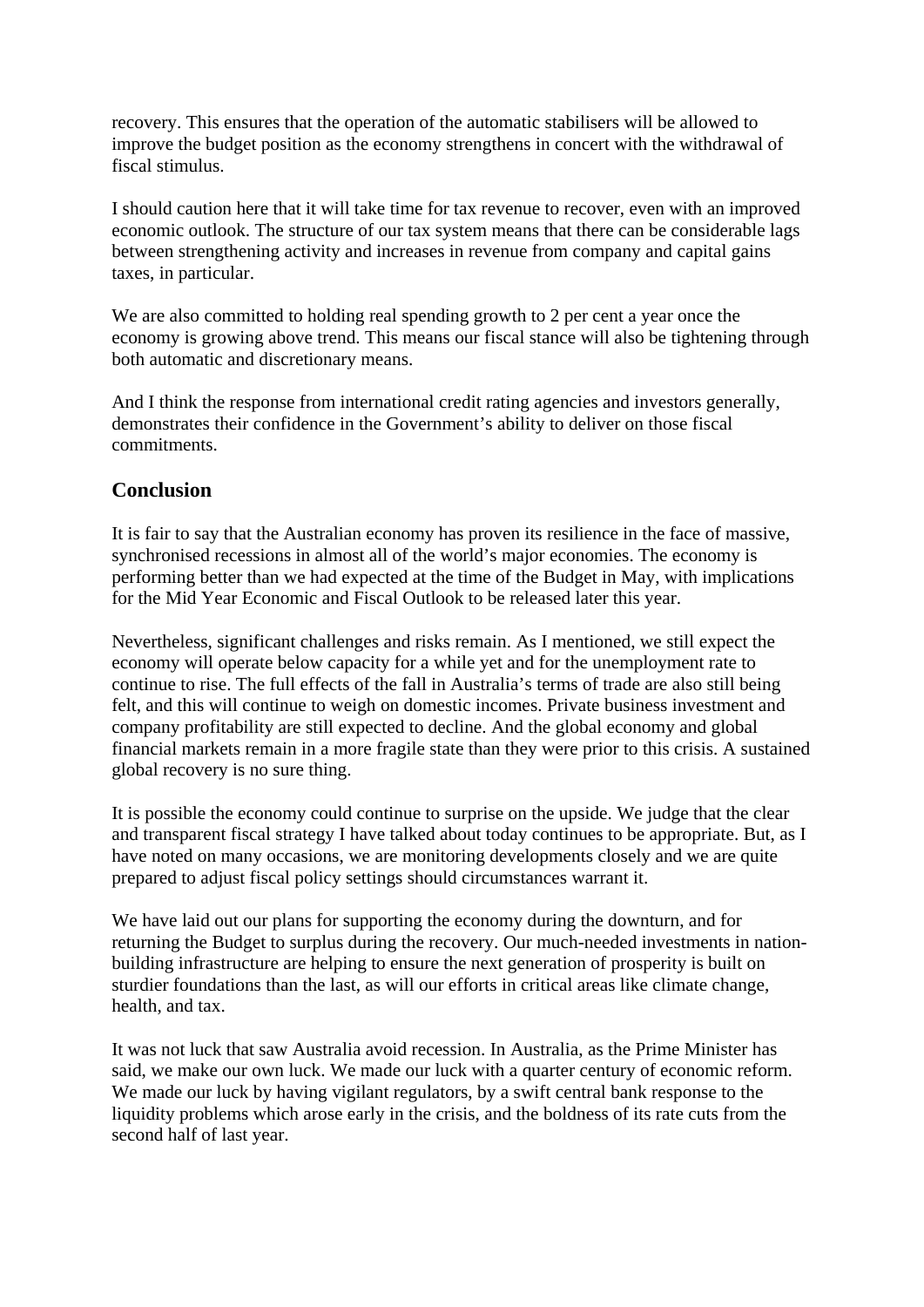recovery. This ensures that the operation of the automatic stabilisers will be allowed to improve the budget position as the economy strengthens in concert with the withdrawal of fiscal stimulus.

I should caution here that it will take time for tax revenue to recover, even with an improved economic outlook. The structure of our tax system means that there can be considerable lags between strengthening activity and increases in revenue from company and capital gains taxes, in particular.

We are also committed to holding real spending growth to 2 per cent a year once the economy is growing above trend. This means our fiscal stance will also be tightening through both automatic and discretionary means.

And I think the response from international credit rating agencies and investors generally, demonstrates their confidence in the Government's ability to deliver on those fiscal commitments.

## **Conclusion**

It is fair to say that the Australian economy has proven its resilience in the face of massive, synchronised recessions in almost all of the world's major economies. The economy is performing better than we had expected at the time of the Budget in May, with implications for the Mid Year Economic and Fiscal Outlook to be released later this year.

Nevertheless, significant challenges and risks remain. As I mentioned, we still expect the economy will operate below capacity for a while yet and for the unemployment rate to continue to rise. The full effects of the fall in Australia's terms of trade are also still being felt, and this will continue to weigh on domestic incomes. Private business investment and company profitability are still expected to decline. And the global economy and global financial markets remain in a more fragile state than they were prior to this crisis. A sustained global recovery is no sure thing.

It is possible the economy could continue to surprise on the upside. We judge that the clear and transparent fiscal strategy I have talked about today continues to be appropriate. But, as I have noted on many occasions, we are monitoring developments closely and we are quite prepared to adjust fiscal policy settings should circumstances warrant it.

We have laid out our plans for supporting the economy during the downturn, and for returning the Budget to surplus during the recovery. Our much-needed investments in nationbuilding infrastructure are helping to ensure the next generation of prosperity is built on sturdier foundations than the last, as will our efforts in critical areas like climate change, health, and tax.

It was not luck that saw Australia avoid recession. In Australia, as the Prime Minister has said, we make our own luck. We made our luck with a quarter century of economic reform. We made our luck by having vigilant regulators, by a swift central bank response to the liquidity problems which arose early in the crisis, and the boldness of its rate cuts from the second half of last year.